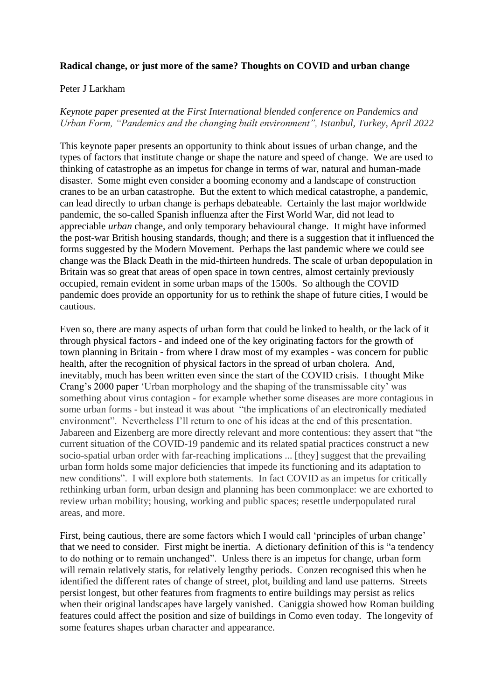## **Radical change, or just more of the same? Thoughts on COVID and urban change**

## Peter J Larkham

## *Keynote paper presented at the First International blended conference on Pandemics and Urban Form, "Pandemics and the changing built environment", Istanbul, Turkey, April 2022*

This keynote paper presents an opportunity to think about issues of urban change, and the types of factors that institute change or shape the nature and speed of change. We are used to thinking of catastrophe as an impetus for change in terms of war, natural and human-made disaster. Some might even consider a booming economy and a landscape of construction cranes to be an urban catastrophe. But the extent to which medical catastrophe, a pandemic, can lead directly to urban change is perhaps debateable. Certainly the last major worldwide pandemic, the so-called Spanish influenza after the First World War, did not lead to appreciable *urban* change, and only temporary behavioural change. It might have informed the post-war British housing standards, though; and there is a suggestion that it influenced the forms suggested by the Modern Movement. Perhaps the last pandemic where we could see change was the Black Death in the mid-thirteen hundreds. The scale of urban depopulation in Britain was so great that areas of open space in town centres, almost certainly previously occupied, remain evident in some urban maps of the 1500s. So although the COVID pandemic does provide an opportunity for us to rethink the shape of future cities, I would be cautious.

Even so, there are many aspects of urban form that could be linked to health, or the lack of it through physical factors - and indeed one of the key originating factors for the growth of town planning in Britain - from where I draw most of my examples - was concern for public health, after the recognition of physical factors in the spread of urban cholera. And, inevitably, much has been written even since the start of the COVID crisis. I thought Mike Crang's 2000 paper 'Urban morphology and the shaping of the transmissable city' was something about virus contagion - for example whether some diseases are more contagious in some urban forms - but instead it was about "the implications of an electronically mediated environment". Nevertheless I'll return to one of his ideas at the end of this presentation. Jabareen and Eizenberg are more directly relevant and more contentious: they assert that "the current situation of the COVID-19 pandemic and its related spatial practices construct a new socio-spatial urban order with far-reaching implications ... [they] suggest that the prevailing urban form holds some major deficiencies that impede its functioning and its adaptation to new conditions". I will explore both statements. In fact COVID as an impetus for critically rethinking urban form, urban design and planning has been commonplace: we are exhorted to review urban mobility; housing, working and public spaces; resettle underpopulated rural areas, and more.

First, being cautious, there are some factors which I would call 'principles of urban change' that we need to consider. First might be inertia. A dictionary definition of this is "a tendency to do nothing or to remain unchanged". Unless there is an impetus for change, urban form will remain relatively statis, for relatively lengthy periods. Conzen recognised this when he identified the different rates of change of street, plot, building and land use patterns. Streets persist longest, but other features from fragments to entire buildings may persist as relics when their original landscapes have largely vanished. Caniggia showed how Roman building features could affect the position and size of buildings in Como even today. The longevity of some features shapes urban character and appearance.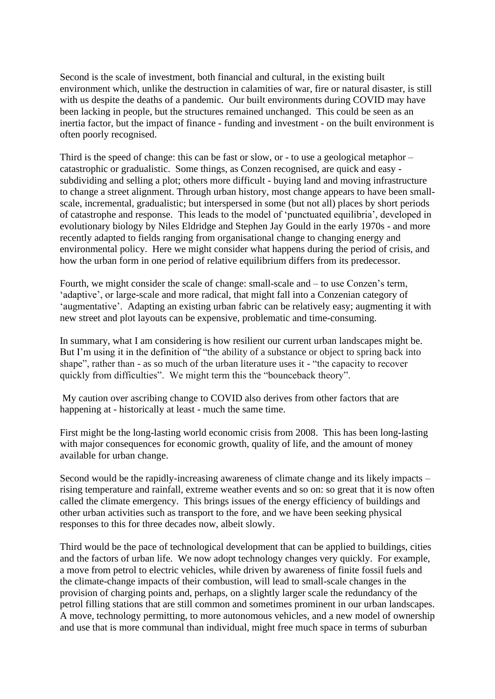Second is the scale of investment, both financial and cultural, in the existing built environment which, unlike the destruction in calamities of war, fire or natural disaster, is still with us despite the deaths of a pandemic. Our built environments during COVID may have been lacking in people, but the structures remained unchanged. This could be seen as an inertia factor, but the impact of finance - funding and investment - on the built environment is often poorly recognised.

Third is the speed of change: this can be fast or slow, or - to use a geological metaphor – catastrophic or gradualistic. Some things, as Conzen recognised, are quick and easy subdividing and selling a plot; others more difficult - buying land and moving infrastructure to change a street alignment. Through urban history, most change appears to have been smallscale, incremental, gradualistic; but interspersed in some (but not all) places by short periods of catastrophe and response. This leads to the model of 'punctuated equilibria', developed in evolutionary biology by Niles Eldridge and Stephen Jay Gould in the early 1970s - and more recently adapted to fields ranging from organisational change to changing energy and environmental policy. Here we might consider what happens during the period of crisis, and how the urban form in one period of relative equilibrium differs from its predecessor.

Fourth, we might consider the scale of change: small-scale and – to use Conzen's term, 'adaptive', or large-scale and more radical, that might fall into a Conzenian category of 'augmentative'. Adapting an existing urban fabric can be relatively easy; augmenting it with new street and plot layouts can be expensive, problematic and time-consuming.

In summary, what I am considering is how resilient our current urban landscapes might be. But I'm using it in the definition of "the ability of a substance or object to spring back into shape", rather than - as so much of the urban literature uses it - "the capacity to recover quickly from difficulties". We might term this the "bounceback theory".

My caution over ascribing change to COVID also derives from other factors that are happening at - historically at least - much the same time.

First might be the long-lasting world economic crisis from 2008. This has been long-lasting with major consequences for economic growth, quality of life, and the amount of money available for urban change.

Second would be the rapidly-increasing awareness of climate change and its likely impacts – rising temperature and rainfall, extreme weather events and so on: so great that it is now often called the climate emergency. This brings issues of the energy efficiency of buildings and other urban activities such as transport to the fore, and we have been seeking physical responses to this for three decades now, albeit slowly.

Third would be the pace of technological development that can be applied to buildings, cities and the factors of urban life. We now adopt technology changes very quickly. For example, a move from petrol to electric vehicles, while driven by awareness of finite fossil fuels and the climate-change impacts of their combustion, will lead to small-scale changes in the provision of charging points and, perhaps, on a slightly larger scale the redundancy of the petrol filling stations that are still common and sometimes prominent in our urban landscapes. A move, technology permitting, to more autonomous vehicles, and a new model of ownership and use that is more communal than individual, might free much space in terms of suburban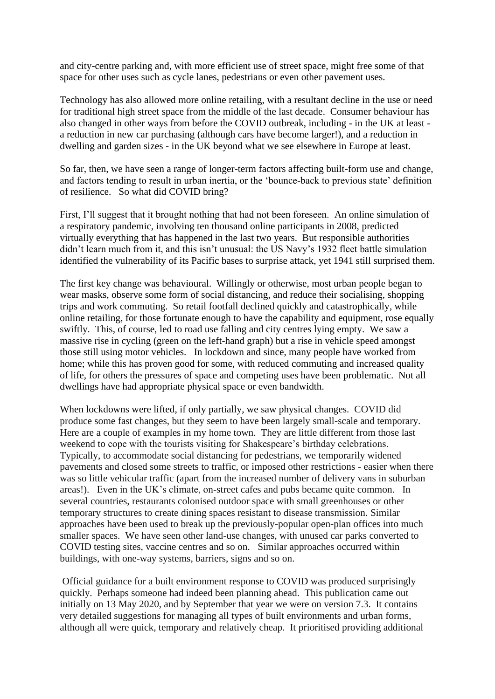and city-centre parking and, with more efficient use of street space, might free some of that space for other uses such as cycle lanes, pedestrians or even other pavement uses.

Technology has also allowed more online retailing, with a resultant decline in the use or need for traditional high street space from the middle of the last decade. Consumer behaviour has also changed in other ways from before the COVID outbreak, including - in the UK at least a reduction in new car purchasing (although cars have become larger!), and a reduction in dwelling and garden sizes - in the UK beyond what we see elsewhere in Europe at least.

So far, then, we have seen a range of longer-term factors affecting built-form use and change, and factors tending to result in urban inertia, or the 'bounce-back to previous state' definition of resilience. So what did COVID bring?

First, I'll suggest that it brought nothing that had not been foreseen. An online simulation of a respiratory pandemic, involving ten thousand online participants in 2008, predicted virtually everything that has happened in the last two years. But responsible authorities didn't learn much from it, and this isn't unusual: the US Navy's 1932 fleet battle simulation identified the vulnerability of its Pacific bases to surprise attack, yet 1941 still surprised them.

The first key change was behavioural. Willingly or otherwise, most urban people began to wear masks, observe some form of social distancing, and reduce their socialising, shopping trips and work commuting. So retail footfall declined quickly and catastrophically, while online retailing, for those fortunate enough to have the capability and equipment, rose equally swiftly. This, of course, led to road use falling and city centres lying empty. We saw a massive rise in cycling (green on the left-hand graph) but a rise in vehicle speed amongst those still using motor vehicles. In lockdown and since, many people have worked from home; while this has proven good for some, with reduced commuting and increased quality of life, for others the pressures of space and competing uses have been problematic. Not all dwellings have had appropriate physical space or even bandwidth.

When lockdowns were lifted, if only partially, we saw physical changes. COVID did produce some fast changes, but they seem to have been largely small-scale and temporary. Here are a couple of examples in my home town. They are little different from those last weekend to cope with the tourists visiting for Shakespeare's birthday celebrations. Typically, to accommodate social distancing for pedestrians, we temporarily widened pavements and closed some streets to traffic, or imposed other restrictions - easier when there was so little vehicular traffic (apart from the increased number of delivery vans in suburban areas!). Even in the UK's climate, on-street cafes and pubs became quite common. In several countries, restaurants colonised outdoor space with small greenhouses or other temporary structures to create dining spaces resistant to disease transmission. Similar approaches have been used to break up the previously-popular open-plan offices into much smaller spaces. We have seen other land-use changes, with unused car parks converted to COVID testing sites, vaccine centres and so on. Similar approaches occurred within buildings, with one-way systems, barriers, signs and so on.

Official guidance for a built environment response to COVID was produced surprisingly quickly. Perhaps someone had indeed been planning ahead. This publication came out initially on 13 May 2020, and by September that year we were on version 7.3. It contains very detailed suggestions for managing all types of built environments and urban forms, although all were quick, temporary and relatively cheap. It prioritised providing additional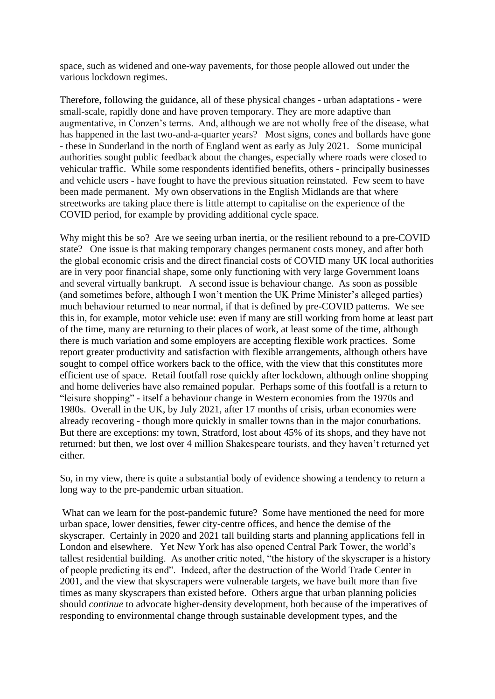space, such as widened and one-way pavements, for those people allowed out under the various lockdown regimes.

Therefore, following the guidance, all of these physical changes - urban adaptations - were small-scale, rapidly done and have proven temporary. They are more adaptive than augmentative, in Conzen's terms. And, although we are not wholly free of the disease, what has happened in the last two-and-a-quarter years? Most signs, cones and bollards have gone - these in Sunderland in the north of England went as early as July 2021. Some municipal authorities sought public feedback about the changes, especially where roads were closed to vehicular traffic. While some respondents identified benefits, others - principally businesses and vehicle users - have fought to have the previous situation reinstated. Few seem to have been made permanent. My own observations in the English Midlands are that where streetworks are taking place there is little attempt to capitalise on the experience of the COVID period, for example by providing additional cycle space.

Why might this be so? Are we seeing urban inertia, or the resilient rebound to a pre-COVID state? One issue is that making temporary changes permanent costs money, and after both the global economic crisis and the direct financial costs of COVID many UK local authorities are in very poor financial shape, some only functioning with very large Government loans and several virtually bankrupt. A second issue is behaviour change. As soon as possible (and sometimes before, although I won't mention the UK Prime Minister's alleged parties) much behaviour returned to near normal, if that is defined by pre-COVID patterns. We see this in, for example, motor vehicle use: even if many are still working from home at least part of the time, many are returning to their places of work, at least some of the time, although there is much variation and some employers are accepting flexible work practices. Some report greater productivity and satisfaction with flexible arrangements, although others have sought to compel office workers back to the office, with the view that this constitutes more efficient use of space. Retail footfall rose quickly after lockdown, although online shopping and home deliveries have also remained popular. Perhaps some of this footfall is a return to "leisure shopping" - itself a behaviour change in Western economies from the 1970s and 1980s. Overall in the UK, by July 2021, after 17 months of crisis, urban economies were already recovering - though more quickly in smaller towns than in the major conurbations. But there are exceptions: my town, Stratford, lost about 45% of its shops, and they have not returned: but then, we lost over 4 million Shakespeare tourists, and they haven't returned yet either.

So, in my view, there is quite a substantial body of evidence showing a tendency to return a long way to the pre-pandemic urban situation.

What can we learn for the post-pandemic future? Some have mentioned the need for more urban space, lower densities, fewer city-centre offices, and hence the demise of the skyscraper. Certainly in 2020 and 2021 tall building starts and planning applications fell in London and elsewhere. Yet New York has also opened Central Park Tower, the world's tallest residential building. As another critic noted, "the history of the skyscraper is a history of people predicting its end". Indeed, after the destruction of the World Trade Center in 2001, and the view that skyscrapers were vulnerable targets, we have built more than five times as many skyscrapers than existed before. Others argue that urban planning policies should *continue* to advocate higher-density development, both because of the imperatives of responding to environmental change through sustainable development types, and the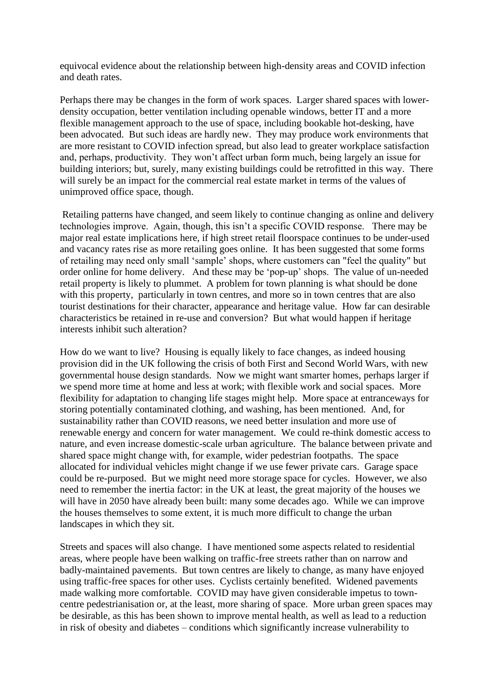equivocal evidence about the relationship between high-density areas and COVID infection and death rates.

Perhaps there may be changes in the form of work spaces. Larger shared spaces with lowerdensity occupation, better ventilation including openable windows, better IT and a more flexible management approach to the use of space, including bookable hot-desking, have been advocated. But such ideas are hardly new. They may produce work environments that are more resistant to COVID infection spread, but also lead to greater workplace satisfaction and, perhaps, productivity. They won't affect urban form much, being largely an issue for building interiors; but, surely, many existing buildings could be retrofitted in this way. There will surely be an impact for the commercial real estate market in terms of the values of unimproved office space, though.

Retailing patterns have changed, and seem likely to continue changing as online and delivery technologies improve. Again, though, this isn't a specific COVID response. There may be major real estate implications here, if high street retail floorspace continues to be under-used and vacancy rates rise as more retailing goes online. It has been suggested that some forms of retailing may need only small 'sample' shops, where customers can "feel the quality" but order online for home delivery. And these may be 'pop-up' shops. The value of un-needed retail property is likely to plummet. A problem for town planning is what should be done with this property, particularly in town centres, and more so in town centres that are also tourist destinations for their character, appearance and heritage value. How far can desirable characteristics be retained in re-use and conversion? But what would happen if heritage interests inhibit such alteration?

How do we want to live? Housing is equally likely to face changes, as indeed housing provision did in the UK following the crisis of both First and Second World Wars, with new governmental house design standards. Now we might want smarter homes, perhaps larger if we spend more time at home and less at work; with flexible work and social spaces. More flexibility for adaptation to changing life stages might help. More space at entranceways for storing potentially contaminated clothing, and washing, has been mentioned. And, for sustainability rather than COVID reasons, we need better insulation and more use of renewable energy and concern for water management. We could re-think domestic access to nature, and even increase domestic-scale urban agriculture. The balance between private and shared space might change with, for example, wider pedestrian footpaths. The space allocated for individual vehicles might change if we use fewer private cars. Garage space could be re-purposed. But we might need more storage space for cycles. However, we also need to remember the inertia factor: in the UK at least, the great majority of the houses we will have in 2050 have already been built: many some decades ago. While we can improve the houses themselves to some extent, it is much more difficult to change the urban landscapes in which they sit.

Streets and spaces will also change. I have mentioned some aspects related to residential areas, where people have been walking on traffic-free streets rather than on narrow and badly-maintained pavements. But town centres are likely to change, as many have enjoyed using traffic-free spaces for other uses. Cyclists certainly benefited. Widened pavements made walking more comfortable. COVID may have given considerable impetus to towncentre pedestrianisation or, at the least, more sharing of space. More urban green spaces may be desirable, as this has been shown to improve mental health, as well as lead to a reduction in risk of obesity and diabetes – conditions which significantly increase vulnerability to